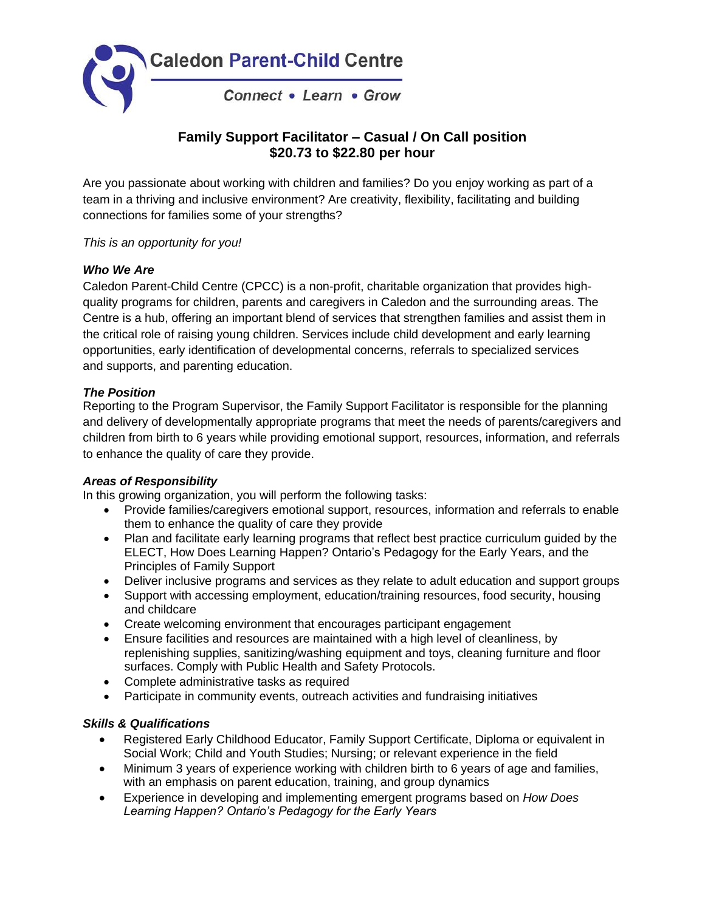

# **Family Support Facilitator – Casual / On Call position \$20.73 to \$22.80 per hour**

Are you passionate about working with children and families? Do you enjoy working as part of a team in a thriving and inclusive environment? Are creativity, flexibility, facilitating and building connections for families some of your strengths?

*This is an opportunity for you!*

## *Who We Are*

Caledon Parent-Child Centre (CPCC) is a non-profit, charitable organization that provides highquality programs for children, parents and caregivers in Caledon and the surrounding areas. The Centre is a hub, offering an important blend of services that strengthen families and assist them in the critical role of raising young children. Services include child development and early learning opportunities, early identification of developmental concerns, referrals to specialized services and supports, and parenting education.

## *The Position*

Reporting to the Program Supervisor, the Family Support Facilitator is responsible for the planning and delivery of developmentally appropriate programs that meet the needs of parents/caregivers and children from birth to 6 years while providing emotional support, resources, information, and referrals to enhance the quality of care they provide.

#### *Areas of Responsibility*

In this growing organization, you will perform the following tasks:

- Provide families/caregivers emotional support, resources, information and referrals to enable them to enhance the quality of care they provide
- Plan and facilitate early learning programs that reflect best practice curriculum guided by the ELECT, How Does Learning Happen? Ontario's Pedagogy for the Early Years, and the Principles of Family Support
- Deliver inclusive programs and services as they relate to adult education and support groups
- Support with accessing employment, education/training resources, food security, housing and childcare
- Create welcoming environment that encourages participant engagement
- Ensure facilities and resources are maintained with a high level of cleanliness, by replenishing supplies, sanitizing/washing equipment and toys, cleaning furniture and floor surfaces. Comply with Public Health and Safety Protocols.
- Complete administrative tasks as required
- Participate in community events, outreach activities and fundraising initiatives

#### *Skills & Qualifications*

- Registered Early Childhood Educator, Family Support Certificate, Diploma or equivalent in Social Work; Child and Youth Studies; Nursing; or relevant experience in the field
- Minimum 3 years of experience working with children birth to 6 years of age and families. with an emphasis on parent education, training, and group dynamics
- Experience in developing and implementing emergent programs based on *How Does Learning Happen? Ontario's Pedagogy for the Early Years*